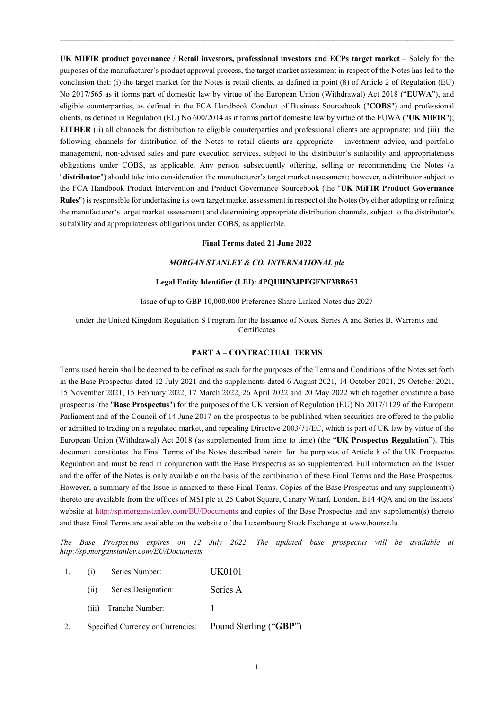**UK MIFIR product governance / Retail investors, professional investors and ECPs target market** – Solely for the purposes of the manufacturer's product approval process, the target market assessment in respect of the Notes has led to the conclusion that: (i) the target market for the Notes is retail clients, as defined in point (8) of Article 2 of Regulation (EU) No 2017/565 as it forms part of domestic law by virtue of the European Union (Withdrawal) Act 2018 ("**EUWA**"), and eligible counterparties, as defined in the FCA Handbook Conduct of Business Sourcebook ("**COBS**") and professional clients, as defined in Regulation (EU) No 600/2014 as it forms part of domestic law by virtue of the EUWA ("**UK MiFIR**"); **EITHER** (ii) all channels for distribution to eligible counterparties and professional clients are appropriate; and (iii) the following channels for distribution of the Notes to retail clients are appropriate – investment advice, and portfolio management, non-advised sales and pure execution services, subject to the distributor's suitability and appropriateness obligations under COBS, as applicable. Any person subsequently offering, selling or recommending the Notes (a "**distributor**") should take into consideration the manufacturer's target market assessment; however, a distributor subject to the FCA Handbook Product Intervention and Product Governance Sourcebook (the "**UK MiFIR Product Governance Rules**") is responsible for undertaking its own target market assessment in respect of the Notes (by either adopting or refining the manufacturer's target market assessment) and determining appropriate distribution channels, subject to the distributor's suitability and appropriateness obligations under COBS, as applicable.

 $\_$  , and the set of the set of the set of the set of the set of the set of the set of the set of the set of the set of the set of the set of the set of the set of the set of the set of the set of the set of the set of th

#### **Final Terms dated 21 June 2022**

#### *MORGAN STANLEY & CO. INTERNATIONAL plc*

#### **Legal Entity Identifier (LEI): 4PQUHN3JPFGFNF3BB653**

Issue of up to GBP 10,000,000 Preference Share Linked Notes due 2027

under the United Kingdom Regulation S Program for the Issuance of Notes, Series A and Series B, Warrants and **Certificates** 

#### **PART A – CONTRACTUAL TERMS**

Terms used herein shall be deemed to be defined as such for the purposes of the Terms and Conditions of the Notes set forth in the Base Prospectus dated 12 July 2021 and the supplements dated 6 August 2021, 14 October 2021, 29 October 2021, 15 November 2021, 15 February 2022, 17 March 2022, 26 April 2022 and 20 May 2022 which together constitute a base prospectus (the "**Base Prospectus**") for the purposes of the UK version of Regulation (EU) No 2017/1129 of the European Parliament and of the Council of 14 June 2017 on the prospectus to be published when securities are offered to the public or admitted to trading on a regulated market, and repealing Directive 2003/71/EC, which is part of UK law by virtue of the European Union (Withdrawal) Act 2018 (as supplemented from time to time) (the "**UK Prospectus Regulation**"). This document constitutes the Final Terms of the Notes described herein for the purposes of Article 8 of the UK Prospectus Regulation and must be read in conjunction with the Base Prospectus as so supplemented. Full information on the Issuer and the offer of the Notes is only available on the basis of the combination of these Final Terms and the Base Prospectus. However, a summary of the Issue is annexed to these Final Terms. Copies of the Base Prospectus and any supplement(s) thereto are available from the offices of MSI plc at 25 Cabot Square, Canary Wharf, London, E14 4QA and on the Issuers' website at http://sp.morganstanley.com/EU/Documents and copies of the Base Prospectus and any supplement(s) thereto and these Final Terms are available on the website of the Luxembourg Stock Exchange at www.bourse.lu

*The Base Prospectus expires on 12 July 2022. The updated base prospectus will be available at http://sp.morganstanley.com/EU/Documents*

- 1. (i) Series Number: UK0101
	- (ii) Series Designation: Series A
	- (iii) Tranche Number: 1
- 2. Specified Currency or Currencies: Pound Sterling ("**GBP**")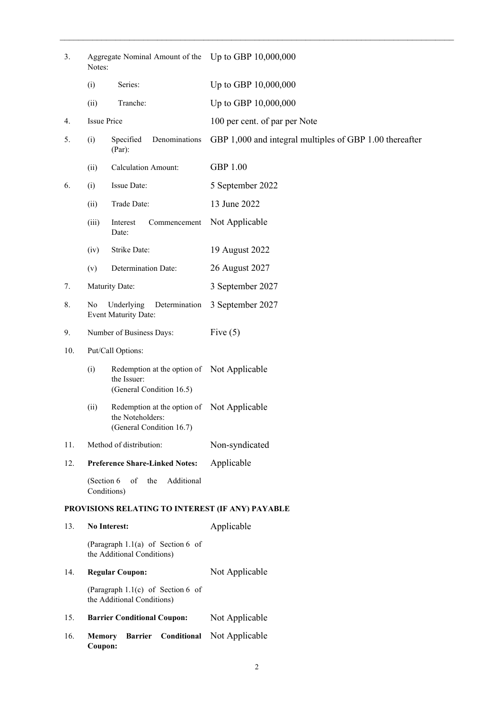| 3.  | Aggregate Nominal Amount of the Up to GBP 10,000,000<br>Notes: |                                                                                            |                                                         |  |  |  |  |
|-----|----------------------------------------------------------------|--------------------------------------------------------------------------------------------|---------------------------------------------------------|--|--|--|--|
|     | (i)                                                            | Series:                                                                                    | Up to GBP 10,000,000                                    |  |  |  |  |
|     | (ii)                                                           | Tranche:                                                                                   | Up to GBP 10,000,000                                    |  |  |  |  |
| 4.  | <b>Issue Price</b>                                             |                                                                                            | 100 per cent. of par per Note                           |  |  |  |  |
| 5.  | (i)                                                            | Specified<br>Denominations<br>(Par):                                                       | GBP 1,000 and integral multiples of GBP 1.00 thereafter |  |  |  |  |
|     | (ii)                                                           | <b>Calculation Amount:</b>                                                                 | <b>GBP 1.00</b>                                         |  |  |  |  |
| 6.  | Issue Date:<br>(i)                                             |                                                                                            | 5 September 2022                                        |  |  |  |  |
|     | (ii)                                                           | Trade Date:                                                                                | 13 June 2022                                            |  |  |  |  |
|     | (iii)                                                          | Commencement<br>Interest<br>Date:                                                          | Not Applicable                                          |  |  |  |  |
|     | (iv)                                                           | Strike Date:                                                                               | 19 August 2022                                          |  |  |  |  |
|     | (v)                                                            | Determination Date:                                                                        | 26 August 2027                                          |  |  |  |  |
| 7.  |                                                                | Maturity Date:                                                                             | 3 September 2027                                        |  |  |  |  |
| 8.  | Underlying<br>Determination<br>No<br>Event Maturity Date:      |                                                                                            | 3 September 2027                                        |  |  |  |  |
| 9.  | Number of Business Days:                                       |                                                                                            | Five $(5)$                                              |  |  |  |  |
| 10. | Put/Call Options:                                              |                                                                                            |                                                         |  |  |  |  |
|     | (i)                                                            | Redemption at the option of Not Applicable<br>the Issuer:<br>(General Condition 16.5)      |                                                         |  |  |  |  |
|     | (ii)                                                           | Redemption at the option of Not Applicable<br>the Noteholders:<br>(General Condition 16.7) |                                                         |  |  |  |  |
| 11. |                                                                | Method of distribution:                                                                    | Non-syndicated                                          |  |  |  |  |
| 12. |                                                                | <b>Preference Share-Linked Notes:</b>                                                      | Applicable                                              |  |  |  |  |
|     | (Section 6<br>Conditions)                                      | of<br>Additional<br>the                                                                    |                                                         |  |  |  |  |
|     |                                                                | PROVISIONS RELATING TO INTEREST (IF ANY) PAYABLE                                           |                                                         |  |  |  |  |
| 13. |                                                                | <b>No Interest:</b>                                                                        | Applicable                                              |  |  |  |  |
|     |                                                                | (Paragraph $1.1(a)$ of Section 6 of<br>the Additional Conditions)                          |                                                         |  |  |  |  |
| 14. |                                                                | <b>Regular Coupon:</b>                                                                     | Not Applicable                                          |  |  |  |  |
|     |                                                                | (Paragraph $1.1(c)$ of Section 6 of<br>the Additional Conditions)                          |                                                         |  |  |  |  |
| 15. |                                                                | <b>Barrier Conditional Coupon:</b>                                                         | Not Applicable                                          |  |  |  |  |
| 16. | <b>Memory</b><br>Coupon:                                       | Conditional<br><b>Barrier</b>                                                              | Not Applicable                                          |  |  |  |  |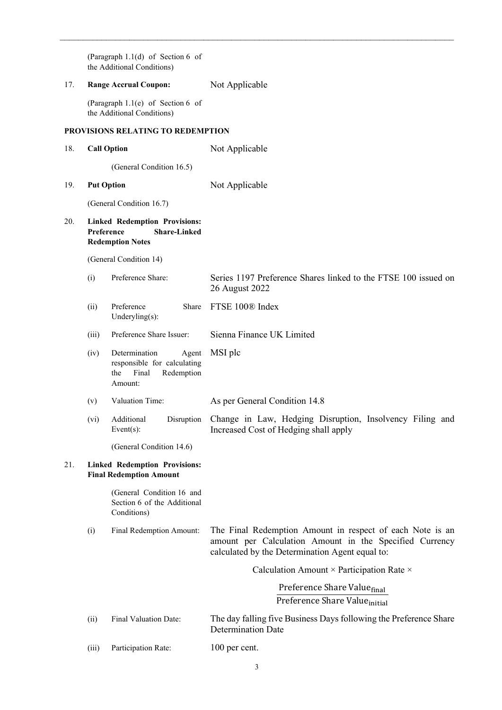(Paragraph 1.1(d) of Section 6 of the Additional Conditions) 17. **Range Accrual Coupon:** Not Applicable (Paragraph 1.1(e) of Section 6 of the Additional Conditions) **PROVISIONS RELATING TO REDEMPTION** 18. **Call Option** Not Applicable (General Condition 16.5) 19. **Put Option** Not Applicable (General Condition 16.7) 20. **Linked Redemption Provisions: Preference Share-Linked Redemption Notes** (General Condition 14) (i) Preference Share: Series 1197 Preference Shares linked to the FTSE 100 issued on 26 August 2022 (ii) Preference Underyling(s): Share FTSE 100<sup>®</sup> Index (iii) Preference Share Issuer: Sienna Finance UK Limited (iv) Determination Agent responsible for calculating the Final Redemption Amount: MSI plc (v) Valuation Time: As per General Condition 14.8 (vi) Additional Disruption Event(s): (General Condition 14.6) Change in Law, Hedging Disruption, Insolvency Filing and Increased Cost of Hedging shall apply 21. **Linked Redemption Provisions: Final Redemption Amount** (General Condition 16 and Section 6 of the Additional Conditions) (i) Final Redemption Amount: The Final Redemption Amount in respect of each Note is an amount per Calculation Amount in the Specified Currency calculated by the Determination Agent equal to: Calculation Amount × Participation Rate × Preference Share Valuefinal Preference Share Value<sub>initial</sub> (ii) Final Valuation Date: The day falling five Business Days following the Preference Share Determination Date

 $\_$  , and the contribution of the contribution of the contribution of the contribution of  $\mathcal{L}_\text{max}$ 

(iii) Participation Rate: 100 per cent.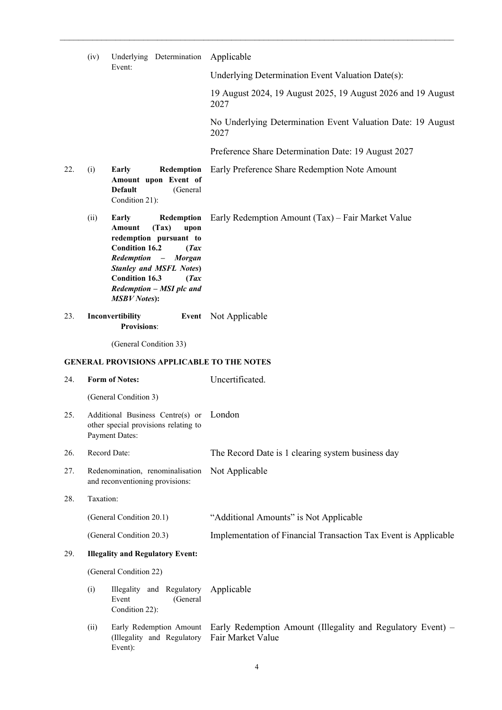|     | (iv)         | Underlying Determination                                                                                                                                                                                                                                                       | Applicable                                                           |  |  |  |  |
|-----|--------------|--------------------------------------------------------------------------------------------------------------------------------------------------------------------------------------------------------------------------------------------------------------------------------|----------------------------------------------------------------------|--|--|--|--|
|     |              | Event:                                                                                                                                                                                                                                                                         | Underlying Determination Event Valuation Date(s):                    |  |  |  |  |
|     |              |                                                                                                                                                                                                                                                                                | 19 August 2024, 19 August 2025, 19 August 2026 and 19 August<br>2027 |  |  |  |  |
|     |              |                                                                                                                                                                                                                                                                                | No Underlying Determination Event Valuation Date: 19 August<br>2027  |  |  |  |  |
|     |              |                                                                                                                                                                                                                                                                                | Preference Share Determination Date: 19 August 2027                  |  |  |  |  |
| 22. | (i)          | Early<br>Redemption<br>Amount upon Event of<br><b>Default</b><br>(General<br>Condition 21):                                                                                                                                                                                    | Early Preference Share Redemption Note Amount                        |  |  |  |  |
|     | (ii)         | Redemption<br>Early<br>Amount<br>(Tax)<br>upon<br>redemption pursuant to<br><b>Condition 16.2</b><br>(Tax)<br>Redemption<br>$\sim$ $-$<br><b>Morgan</b><br><b>Stanley and MSFL Notes)</b><br><b>Condition 16.3</b><br>(Tax)<br>Redemption - MSI plc and<br><b>MSBV</b> Notes): | Early Redemption Amount (Tax) – Fair Market Value                    |  |  |  |  |
| 23. |              | Inconvertibility<br><b>Provisions:</b>                                                                                                                                                                                                                                         | Event Not Applicable                                                 |  |  |  |  |
|     |              | (General Condition 33)                                                                                                                                                                                                                                                         |                                                                      |  |  |  |  |
|     |              | <b>GENERAL PROVISIONS APPLICABLE TO THE NOTES</b>                                                                                                                                                                                                                              |                                                                      |  |  |  |  |
| 24. |              | <b>Form of Notes:</b>                                                                                                                                                                                                                                                          | Uncertificated.                                                      |  |  |  |  |
|     |              | (General Condition 3)                                                                                                                                                                                                                                                          |                                                                      |  |  |  |  |
| 25. |              | Additional Business Centre(s) or London                                                                                                                                                                                                                                        |                                                                      |  |  |  |  |
| 26. | Record Date: |                                                                                                                                                                                                                                                                                |                                                                      |  |  |  |  |
| 27. |              | other special provisions relating to<br><b>Payment Dates:</b>                                                                                                                                                                                                                  | The Record Date is 1 clearing system business day                    |  |  |  |  |
|     |              | Redenomination, renominalisation<br>and reconventioning provisions:                                                                                                                                                                                                            | Not Applicable                                                       |  |  |  |  |
| 28. | Taxation:    |                                                                                                                                                                                                                                                                                |                                                                      |  |  |  |  |
|     |              | (General Condition 20.1)                                                                                                                                                                                                                                                       | "Additional Amounts" is Not Applicable                               |  |  |  |  |
|     |              | (General Condition 20.3)                                                                                                                                                                                                                                                       | Implementation of Financial Transaction Tax Event is Applicable      |  |  |  |  |
| 29. |              | <b>Illegality and Regulatory Event:</b>                                                                                                                                                                                                                                        |                                                                      |  |  |  |  |
|     |              | (General Condition 22)                                                                                                                                                                                                                                                         |                                                                      |  |  |  |  |
|     | (i)          | Illegality and Regulatory<br>(General<br>Event<br>Condition 22):                                                                                                                                                                                                               | Applicable                                                           |  |  |  |  |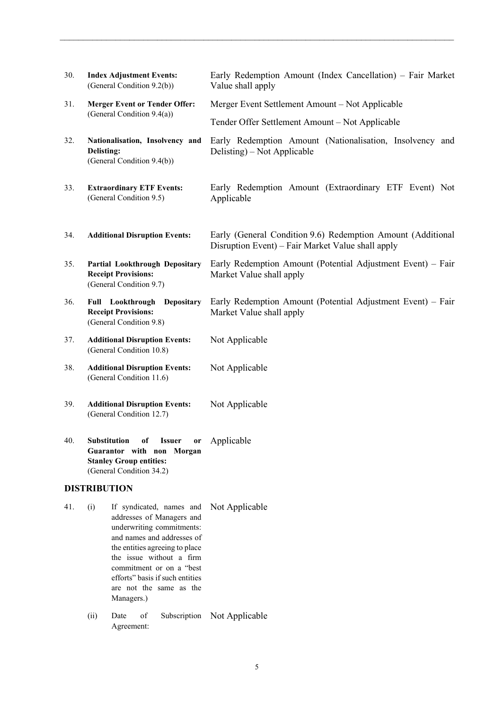| 30. | <b>Index Adjustment Events:</b><br>(General Condition 9.2(b))                                                                                             | Early Redemption Amount (Index Cancellation) – Fair Market<br>Value shall apply                                  |  |  |  |  |  |
|-----|-----------------------------------------------------------------------------------------------------------------------------------------------------------|------------------------------------------------------------------------------------------------------------------|--|--|--|--|--|
| 31. | <b>Merger Event or Tender Offer:</b>                                                                                                                      | Merger Event Settlement Amount – Not Applicable                                                                  |  |  |  |  |  |
|     | (General Condition 9.4(a))                                                                                                                                | Tender Offer Settlement Amount – Not Applicable                                                                  |  |  |  |  |  |
| 32. | Nationalisation, Insolvency and<br>Delisting:<br>(General Condition 9.4(b))                                                                               | Early Redemption Amount (Nationalisation, Insolvency and<br>Delisting) – Not Applicable                          |  |  |  |  |  |
| 33. | <b>Extraordinary ETF Events:</b><br>(General Condition 9.5)                                                                                               | Early Redemption Amount (Extraordinary ETF Event) Not<br>Applicable                                              |  |  |  |  |  |
| 34. | <b>Additional Disruption Events:</b>                                                                                                                      | Early (General Condition 9.6) Redemption Amount (Additional<br>Disruption Event) – Fair Market Value shall apply |  |  |  |  |  |
| 35. | <b>Partial Lookthrough Depositary</b><br><b>Receipt Provisions:</b><br>(General Condition 9.7)                                                            | Early Redemption Amount (Potential Adjustment Event) – Fair<br>Market Value shall apply                          |  |  |  |  |  |
| 36. | <b>Full</b> Lookthrough<br><b>Depositary</b><br><b>Receipt Provisions:</b><br>(General Condition 9.8)                                                     | Early Redemption Amount (Potential Adjustment Event) – Fair<br>Market Value shall apply                          |  |  |  |  |  |
| 37. | <b>Additional Disruption Events:</b><br>(General Condition 10.8)                                                                                          | Not Applicable                                                                                                   |  |  |  |  |  |
| 38. | <b>Additional Disruption Events:</b><br>(General Condition 11.6)                                                                                          | Not Applicable                                                                                                   |  |  |  |  |  |
| 39. | <b>Additional Disruption Events:</b><br>(General Condition 12.7)                                                                                          | Not Applicable                                                                                                   |  |  |  |  |  |
| 40. | <b>Substitution</b><br>of<br><b>Issuer</b><br>or<br>Guarantor with non Morgan<br><b>Stanley Group entities:</b><br>(General Condition 34.2)               | Applicable                                                                                                       |  |  |  |  |  |
|     | <b>DISTRIBUTION</b>                                                                                                                                       |                                                                                                                  |  |  |  |  |  |
| 41. | (i)<br>If syndicated, names and<br>addresses of Managers and<br>underwriting commitments:<br>and names and addresses of<br>the entities agreeing to place | Not Applicable                                                                                                   |  |  |  |  |  |

the issue without a firm commitment or on a "best efforts" basis if such entities are not the same as the Managers.)

(ii) Date of Subscription Not ApplicableAgreement: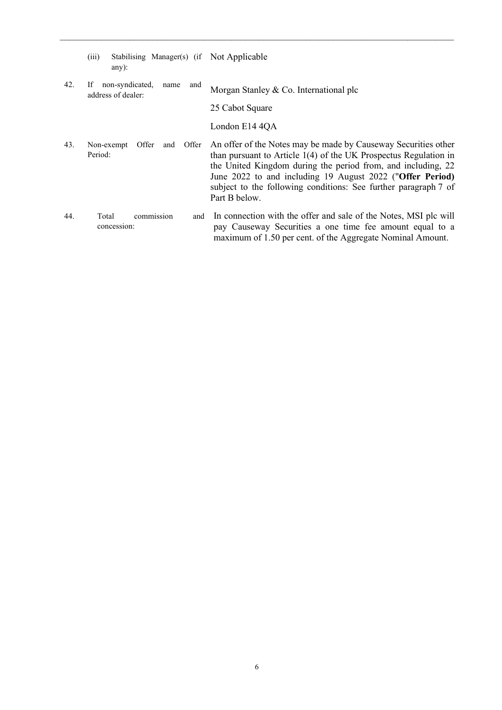|     | (iii)<br>Stabilising Manager(s) (if Not Applicable<br>$any)$ : |                                                                                                                                                                                                                                                                                                                                                       |
|-----|----------------------------------------------------------------|-------------------------------------------------------------------------------------------------------------------------------------------------------------------------------------------------------------------------------------------------------------------------------------------------------------------------------------------------------|
| 42. | non-syndicated,<br>If<br>and<br>name<br>address of dealer:     | Morgan Stanley & Co. International plc                                                                                                                                                                                                                                                                                                                |
|     |                                                                | 25 Cabot Square                                                                                                                                                                                                                                                                                                                                       |
|     |                                                                | London E14 4QA                                                                                                                                                                                                                                                                                                                                        |
| 43. | Offer<br>Offer<br>Non-exempt<br>and<br>Period:                 | An offer of the Notes may be made by Causeway Securities other<br>than pursuant to Article $1(4)$ of the UK Prospectus Regulation in<br>the United Kingdom during the period from, and including, 22<br>June 2022 to and including 19 August 2022 ("Offer Period)<br>subject to the following conditions: See further paragraph 7 of<br>Part B below. |
| 44. | commission<br>Total<br>and<br>concession:                      | In connection with the offer and sale of the Notes, MSI plc will<br>pay Causeway Securities a one time fee amount equal to a<br>maximum of 1.50 per cent. of the Aggregate Nominal Amount.                                                                                                                                                            |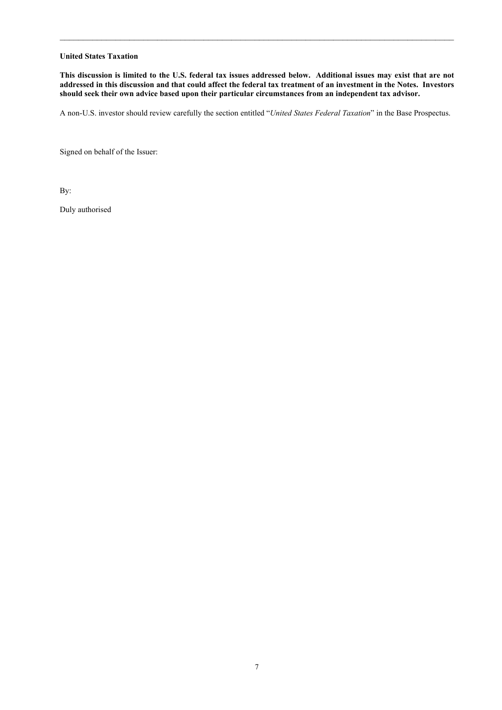#### **United States Taxation**

**This discussion is limited to the U.S. federal tax issues addressed below. Additional issues may exist that are not addressed in this discussion and that could affect the federal tax treatment of an investment in the Notes. Investors should seek their own advice based upon their particular circumstances from an independent tax advisor.**

 $\_$  , and the set of the set of the set of the set of the set of the set of the set of the set of the set of the set of the set of the set of the set of the set of the set of the set of the set of the set of the set of th

A non-U.S. investor should review carefully the section entitled "*United States Federal Taxation*" in the Base Prospectus.

Signed on behalf of the Issuer:

By:

Duly authorised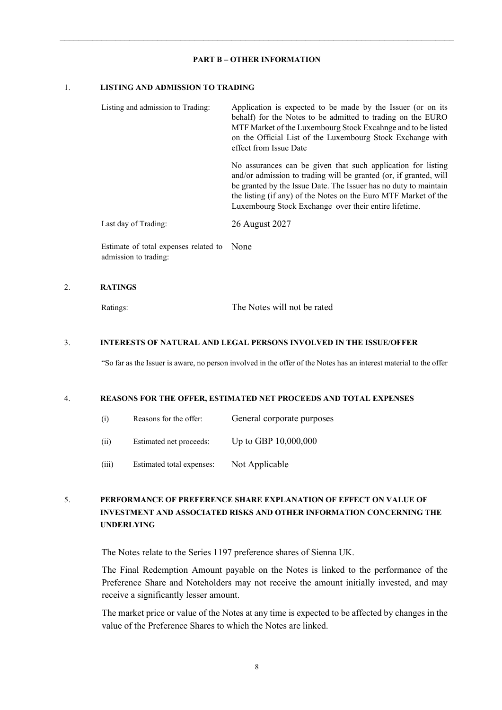#### **PART B – OTHER INFORMATION**

 $\_$  , and the set of the set of the set of the set of the set of the set of the set of the set of the set of the set of the set of the set of the set of the set of the set of the set of the set of the set of the set of th

#### 1. **LISTING AND ADMISSION TO TRADING**

| Listing and admission to Trading:     | Application is expected to be made by the Issuer (or on its<br>behalf) for the Notes to be admitted to trading on the EURO<br>MTF Market of the Luxembourg Stock Excahnge and to be listed<br>on the Official List of the Luxembourg Stock Exchange with<br>effect from Issue Date                                                |
|---------------------------------------|-----------------------------------------------------------------------------------------------------------------------------------------------------------------------------------------------------------------------------------------------------------------------------------------------------------------------------------|
|                                       | No assurances can be given that such application for listing<br>and/or admission to trading will be granted (or, if granted, will<br>be granted by the Issue Date. The Issuer has no duty to maintain<br>the listing (if any) of the Notes on the Euro MTF Market of the<br>Luxembourg Stock Exchange over their entire lifetime. |
| Last day of Trading:                  | 26 August 2027                                                                                                                                                                                                                                                                                                                    |
| Estimate of total expenses related to | None                                                                                                                                                                                                                                                                                                                              |

admission to trading:

#### 2. **RATINGS**

Ratings: The Notes will not be rated

### 3. **INTERESTS OF NATURAL AND LEGAL PERSONS INVOLVED IN THE ISSUE/OFFER**

"So far as the Issuer is aware, no person involved in the offer of the Notes has an interest material to the offer

#### 4. **REASONS FOR THE OFFER, ESTIMATED NET PROCEEDS AND TOTAL EXPENSES**

- (i) Reasons for the offer: General corporate purposes
- (ii) Estimated net proceeds: Up to GBP 10,000,000
- (iii) Estimated total expenses: Not Applicable

# 5. **PERFORMANCE OF PREFERENCE SHARE EXPLANATION OF EFFECT ON VALUE OF INVESTMENT AND ASSOCIATED RISKS AND OTHER INFORMATION CONCERNING THE UNDERLYING**

The Notes relate to the Series 1197 preference shares of Sienna UK.

The Final Redemption Amount payable on the Notes is linked to the performance of the Preference Share and Noteholders may not receive the amount initially invested, and may receive a significantly lesser amount.

The market price or value of the Notes at any time is expected to be affected by changes in the value of the Preference Shares to which the Notes are linked.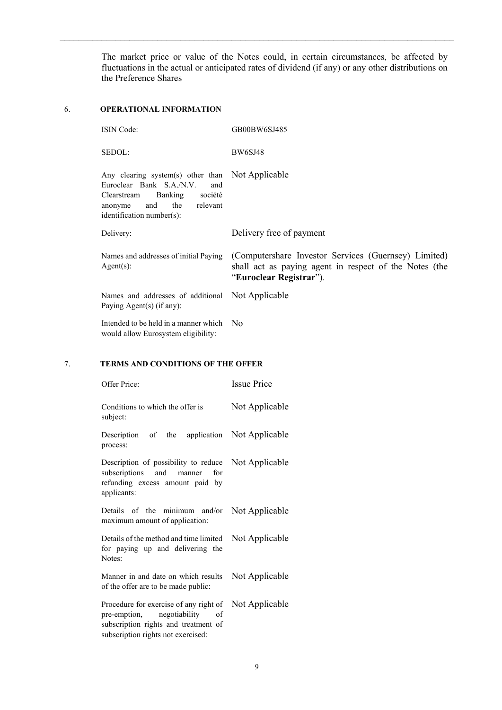The market price or value of the Notes could, in certain circumstances, be affected by fluctuations in the actual or anticipated rates of dividend (if any) or any other distributions on the Preference Shares

 $\_$  , and the set of the set of the set of the set of the set of the set of the set of the set of the set of the set of the set of the set of the set of the set of the set of the set of the set of the set of the set of th

# 6. **OPERATIONAL INFORMATION**

| <b>ISIN</b> Code:                                                                                                                                                                       | GB00BW6SJ485                                                                                                                              |
|-----------------------------------------------------------------------------------------------------------------------------------------------------------------------------------------|-------------------------------------------------------------------------------------------------------------------------------------------|
| SEDOL:                                                                                                                                                                                  | <b>BW6SJ48</b>                                                                                                                            |
| Any clearing system(s) other than Not Applicable<br>Euroclear Bank S.A./N.V.<br>and<br>Banking<br>société<br>Clearstream<br>and<br>the relevant<br>anonyme<br>identification number(s): |                                                                                                                                           |
| Delivery:                                                                                                                                                                               | Delivery free of payment                                                                                                                  |
| Names and addresses of initial Paying<br>$Agent(s)$ :                                                                                                                                   | (Computershare Investor Services (Guernsey) Limited)<br>shall act as paying agent in respect of the Notes (the<br>"Euroclear Registrar"). |
| Names and addresses of additional Not Applicable<br>Paying Agent(s) (if any):                                                                                                           |                                                                                                                                           |
| Intended to be held in a manner which No<br>would allow Eurosystem eligibility:                                                                                                         |                                                                                                                                           |

# 7. **TERMS AND CONDITIONS OF THE OFFER**

| Offer Price:                                                                                                                                             | <b>Issue Price</b> |
|----------------------------------------------------------------------------------------------------------------------------------------------------------|--------------------|
| Conditions to which the offer is<br>subject:                                                                                                             | Not Applicable     |
| Description of the application Not Applicable<br>process:                                                                                                |                    |
| Description of possibility to reduce<br>subscriptions and<br>for<br>manner<br>refunding excess amount paid by<br>applicants:                             | Not Applicable     |
| Details of the minimum and/or<br>maximum amount of application:                                                                                          | Not Applicable     |
| Details of the method and time limited<br>for paying up and delivering the<br>Notes:                                                                     | Not Applicable     |
| Manner in and date on which results<br>of the offer are to be made public:                                                                               | Not Applicable     |
| Procedure for exercise of any right of<br>pre-emption, negotiability<br>οf<br>subscription rights and treatment of<br>subscription rights not exercised: | Not Applicable     |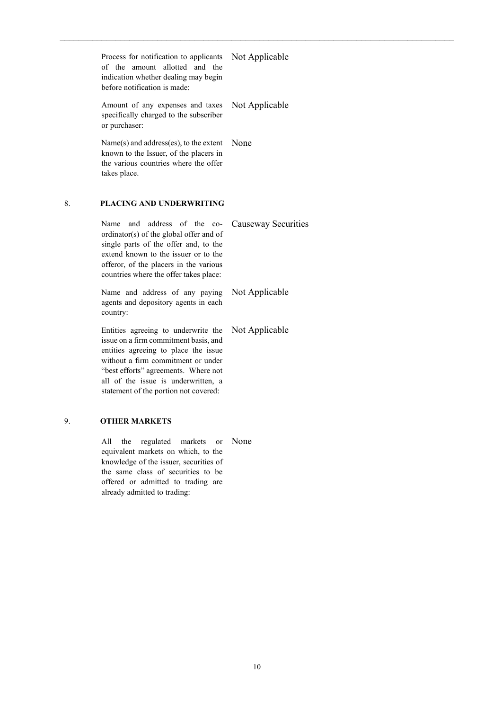Process for notification to applicants of the amount allotted and the indication whether dealing may begin before notification is made:

Not Applicable

 $\_$  , and the set of the set of the set of the set of the set of the set of the set of the set of the set of the set of the set of the set of the set of the set of the set of the set of the set of the set of the set of th

Amount of any expenses and taxes Not Applicable specifically charged to the subscriber or purchaser:

Name(s) and address(es), to the extent None known to the Issuer, of the placers in the various countries where the offer takes place.

## 8. **PLACING AND UNDERWRITING**

Name and address of the coordinator(s) of the global offer and of single parts of the offer and, to the extend known to the issuer or to the offeror, of the placers in the various countries where the offer takes place: Causeway Securities

Name and address of any paying agents and depository agents in each country: Not Applicable

Entities agreeing to underwrite the issue on a firm commitment basis, and entities agreeing to place the issue without a firm commitment or under "best efforts" agreements. Where not all of the issue is underwritten, a statement of the portion not covered: Not Applicable

### 9. **OTHER MARKETS**

All the regulated markets or Noneequivalent markets on which, to the knowledge of the issuer, securities of the same class of securities to be offered or admitted to trading are already admitted to trading: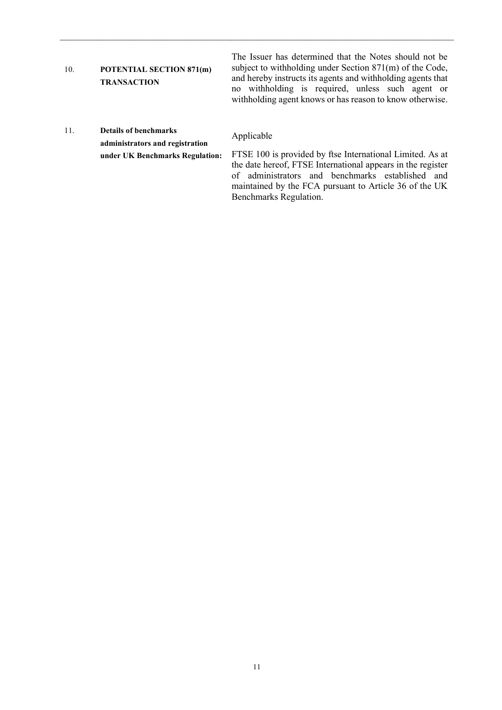# 10. **POTENTIAL SECTION 871(m) TRANSACTION**

The Issuer has determined that the Notes should not be subject to withholding under Section 871(m) of the Code, and hereby instructs its agents and withholding agents that no withholding is required, unless such agent or withholding agent knows or has reason to know otherwise.

11. **Details of benchmarks administrators and registration under UK Benchmarks Regulation:**

# Applicable

 $\_$  , and the set of the set of the set of the set of the set of the set of the set of the set of the set of the set of the set of the set of the set of the set of the set of the set of the set of the set of the set of th

FTSE 100 is provided by ftse International Limited. As at the date hereof, FTSE International appears in the register of administrators and benchmarks established and maintained by the FCA pursuant to Article 36 of the UK Benchmarks Regulation.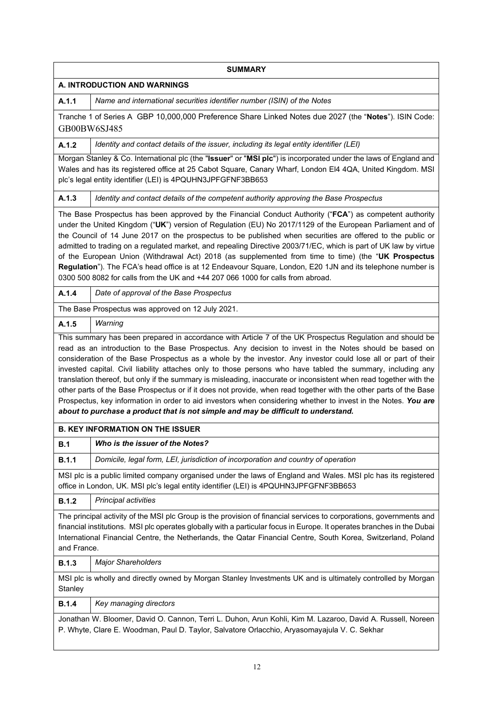|                                                                                                                                                                                                                                                                                                                                                                                                                                                                                                                                                                                                                                                                                                                                                                | <b>SUMMARY</b>                                                                                                                                                                                                                                                                                                                                                                                                                                                                                                                                                                                                                                                                                                                                                                                                                                                                                         |  |  |  |  |
|----------------------------------------------------------------------------------------------------------------------------------------------------------------------------------------------------------------------------------------------------------------------------------------------------------------------------------------------------------------------------------------------------------------------------------------------------------------------------------------------------------------------------------------------------------------------------------------------------------------------------------------------------------------------------------------------------------------------------------------------------------------|--------------------------------------------------------------------------------------------------------------------------------------------------------------------------------------------------------------------------------------------------------------------------------------------------------------------------------------------------------------------------------------------------------------------------------------------------------------------------------------------------------------------------------------------------------------------------------------------------------------------------------------------------------------------------------------------------------------------------------------------------------------------------------------------------------------------------------------------------------------------------------------------------------|--|--|--|--|
|                                                                                                                                                                                                                                                                                                                                                                                                                                                                                                                                                                                                                                                                                                                                                                | A. INTRODUCTION AND WARNINGS                                                                                                                                                                                                                                                                                                                                                                                                                                                                                                                                                                                                                                                                                                                                                                                                                                                                           |  |  |  |  |
| A.1.1                                                                                                                                                                                                                                                                                                                                                                                                                                                                                                                                                                                                                                                                                                                                                          | Name and international securities identifier number (ISIN) of the Notes                                                                                                                                                                                                                                                                                                                                                                                                                                                                                                                                                                                                                                                                                                                                                                                                                                |  |  |  |  |
| Tranche 1 of Series A GBP 10,000,000 Preference Share Linked Notes due 2027 (the "Notes"). ISIN Code:<br>GB00BW6SJ485                                                                                                                                                                                                                                                                                                                                                                                                                                                                                                                                                                                                                                          |                                                                                                                                                                                                                                                                                                                                                                                                                                                                                                                                                                                                                                                                                                                                                                                                                                                                                                        |  |  |  |  |
| A.1.2                                                                                                                                                                                                                                                                                                                                                                                                                                                                                                                                                                                                                                                                                                                                                          | Identity and contact details of the issuer, including its legal entity identifier (LEI)                                                                                                                                                                                                                                                                                                                                                                                                                                                                                                                                                                                                                                                                                                                                                                                                                |  |  |  |  |
|                                                                                                                                                                                                                                                                                                                                                                                                                                                                                                                                                                                                                                                                                                                                                                | Morgan Stanley & Co. International plc (the "Issuer" or "MSI plc") is incorporated under the laws of England and<br>Wales and has its registered office at 25 Cabot Square, Canary Wharf, London El4 4QA, United Kingdom. MSI<br>plc's legal entity identifier (LEI) is 4PQUHN3JPFGFNF3BB653                                                                                                                                                                                                                                                                                                                                                                                                                                                                                                                                                                                                           |  |  |  |  |
| A.1.3                                                                                                                                                                                                                                                                                                                                                                                                                                                                                                                                                                                                                                                                                                                                                          | Identity and contact details of the competent authority approving the Base Prospectus                                                                                                                                                                                                                                                                                                                                                                                                                                                                                                                                                                                                                                                                                                                                                                                                                  |  |  |  |  |
| The Base Prospectus has been approved by the Financial Conduct Authority ("FCA") as competent authority<br>under the United Kingdom ("UK") version of Regulation (EU) No 2017/1129 of the European Parliament and of<br>the Council of 14 June 2017 on the prospectus to be published when securities are offered to the public or<br>admitted to trading on a regulated market, and repealing Directive 2003/71/EC, which is part of UK law by virtue<br>of the European Union (Withdrawal Act) 2018 (as supplemented from time to time) (the "UK Prospectus<br>Regulation"). The FCA's head office is at 12 Endeavour Square, London, E20 1JN and its telephone number is<br>0300 500 8082 for calls from the UK and +44 207 066 1000 for calls from abroad. |                                                                                                                                                                                                                                                                                                                                                                                                                                                                                                                                                                                                                                                                                                                                                                                                                                                                                                        |  |  |  |  |
| A.1.4                                                                                                                                                                                                                                                                                                                                                                                                                                                                                                                                                                                                                                                                                                                                                          | Date of approval of the Base Prospectus                                                                                                                                                                                                                                                                                                                                                                                                                                                                                                                                                                                                                                                                                                                                                                                                                                                                |  |  |  |  |
|                                                                                                                                                                                                                                                                                                                                                                                                                                                                                                                                                                                                                                                                                                                                                                | The Base Prospectus was approved on 12 July 2021.                                                                                                                                                                                                                                                                                                                                                                                                                                                                                                                                                                                                                                                                                                                                                                                                                                                      |  |  |  |  |
| A.1.5                                                                                                                                                                                                                                                                                                                                                                                                                                                                                                                                                                                                                                                                                                                                                          | Warning                                                                                                                                                                                                                                                                                                                                                                                                                                                                                                                                                                                                                                                                                                                                                                                                                                                                                                |  |  |  |  |
|                                                                                                                                                                                                                                                                                                                                                                                                                                                                                                                                                                                                                                                                                                                                                                | This summary has been prepared in accordance with Article 7 of the UK Prospectus Regulation and should be<br>read as an introduction to the Base Prospectus. Any decision to invest in the Notes should be based on<br>consideration of the Base Prospectus as a whole by the investor. Any investor could lose all or part of their<br>invested capital. Civil liability attaches only to those persons who have tabled the summary, including any<br>translation thereof, but only if the summary is misleading, inaccurate or inconsistent when read together with the<br>other parts of the Base Prospectus or if it does not provide, when read together with the other parts of the Base<br>Prospectus, key information in order to aid investors when considering whether to invest in the Notes. You are<br>about to purchase a product that is not simple and may be difficult to understand. |  |  |  |  |
|                                                                                                                                                                                                                                                                                                                                                                                                                                                                                                                                                                                                                                                                                                                                                                | <b>B. KEY INFORMATION ON THE ISSUER</b>                                                                                                                                                                                                                                                                                                                                                                                                                                                                                                                                                                                                                                                                                                                                                                                                                                                                |  |  |  |  |
| B.1                                                                                                                                                                                                                                                                                                                                                                                                                                                                                                                                                                                                                                                                                                                                                            | Who is the issuer of the Notes?                                                                                                                                                                                                                                                                                                                                                                                                                                                                                                                                                                                                                                                                                                                                                                                                                                                                        |  |  |  |  |
| B.1.1                                                                                                                                                                                                                                                                                                                                                                                                                                                                                                                                                                                                                                                                                                                                                          | Domicile, legal form, LEI, jurisdiction of incorporation and country of operation                                                                                                                                                                                                                                                                                                                                                                                                                                                                                                                                                                                                                                                                                                                                                                                                                      |  |  |  |  |
|                                                                                                                                                                                                                                                                                                                                                                                                                                                                                                                                                                                                                                                                                                                                                                | MSI plc is a public limited company organised under the laws of England and Wales. MSI plc has its registered<br>office in London, UK. MSI plc's legal entity identifier (LEI) is 4PQUHN3JPFGFNF3BB653                                                                                                                                                                                                                                                                                                                                                                                                                                                                                                                                                                                                                                                                                                 |  |  |  |  |
| <b>B.1.2</b>                                                                                                                                                                                                                                                                                                                                                                                                                                                                                                                                                                                                                                                                                                                                                   | Principal activities                                                                                                                                                                                                                                                                                                                                                                                                                                                                                                                                                                                                                                                                                                                                                                                                                                                                                   |  |  |  |  |
| The principal activity of the MSI plc Group is the provision of financial services to corporations, governments and<br>financial institutions. MSI plc operates globally with a particular focus in Europe. It operates branches in the Dubai<br>International Financial Centre, the Netherlands, the Qatar Financial Centre, South Korea, Switzerland, Poland<br>and France.                                                                                                                                                                                                                                                                                                                                                                                  |                                                                                                                                                                                                                                                                                                                                                                                                                                                                                                                                                                                                                                                                                                                                                                                                                                                                                                        |  |  |  |  |
| <b>B.1.3</b>                                                                                                                                                                                                                                                                                                                                                                                                                                                                                                                                                                                                                                                                                                                                                   | <b>Major Shareholders</b>                                                                                                                                                                                                                                                                                                                                                                                                                                                                                                                                                                                                                                                                                                                                                                                                                                                                              |  |  |  |  |
| Stanley                                                                                                                                                                                                                                                                                                                                                                                                                                                                                                                                                                                                                                                                                                                                                        | MSI plc is wholly and directly owned by Morgan Stanley Investments UK and is ultimately controlled by Morgan                                                                                                                                                                                                                                                                                                                                                                                                                                                                                                                                                                                                                                                                                                                                                                                           |  |  |  |  |
| <b>B.1.4</b>                                                                                                                                                                                                                                                                                                                                                                                                                                                                                                                                                                                                                                                                                                                                                   | Key managing directors                                                                                                                                                                                                                                                                                                                                                                                                                                                                                                                                                                                                                                                                                                                                                                                                                                                                                 |  |  |  |  |
|                                                                                                                                                                                                                                                                                                                                                                                                                                                                                                                                                                                                                                                                                                                                                                | Jonathan W. Bloomer, David O. Cannon, Terri L. Duhon, Arun Kohli, Kim M. Lazaroo, David A. Russell, Noreen<br>P. Whyte, Clare E. Woodman, Paul D. Taylor, Salvatore Orlacchio, Aryasomayajula V. C. Sekhar                                                                                                                                                                                                                                                                                                                                                                                                                                                                                                                                                                                                                                                                                             |  |  |  |  |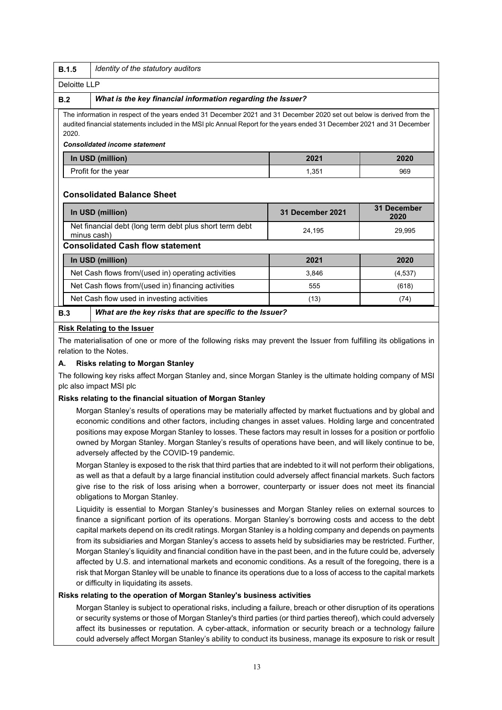|                                                                                                                                                                                                                                                                                                   | <b>B.1.5</b>   | Identity of the statutory auditors                          |       |          |  |  |  |
|---------------------------------------------------------------------------------------------------------------------------------------------------------------------------------------------------------------------------------------------------------------------------------------------------|----------------|-------------------------------------------------------------|-------|----------|--|--|--|
|                                                                                                                                                                                                                                                                                                   | Deloitte I I P |                                                             |       |          |  |  |  |
|                                                                                                                                                                                                                                                                                                   | B.2            | What is the key financial information regarding the Issuer? |       |          |  |  |  |
| The information in respect of the years ended 31 December 2021 and 31 December 2020 set out below is derived from the<br>audited financial statements included in the MSI plc Annual Report for the years ended 31 December 2021 and 31 December<br>2020.<br><b>Consolidated income statement</b> |                |                                                             |       |          |  |  |  |
|                                                                                                                                                                                                                                                                                                   |                | In USD (million)                                            | 2021  | 2020     |  |  |  |
|                                                                                                                                                                                                                                                                                                   |                | Profit for the year                                         | 1,351 | 969      |  |  |  |
| <b>Consolidated Balance Sheet</b><br>31 December 2021                                                                                                                                                                                                                                             |                | <b>31 December</b>                                          |       |          |  |  |  |
| In USD (million)<br>2020<br>Net financial debt (long term debt plus short term debt<br>24,195<br>29,995<br>minus cash)                                                                                                                                                                            |                |                                                             |       |          |  |  |  |
|                                                                                                                                                                                                                                                                                                   |                | <b>Consolidated Cash flow statement</b>                     |       |          |  |  |  |
| 2021<br>In USD (million)<br>2020                                                                                                                                                                                                                                                                  |                |                                                             |       |          |  |  |  |
| Net Cash flows from/(used in) operating activities<br>3.846                                                                                                                                                                                                                                       |                |                                                             |       | (4, 537) |  |  |  |
|                                                                                                                                                                                                                                                                                                   |                | Net Cash flows from/(used in) financing activities          | 555   | (618)    |  |  |  |
|                                                                                                                                                                                                                                                                                                   |                | Net Cash flow used in investing activities                  | (13)  | (74)     |  |  |  |
|                                                                                                                                                                                                                                                                                                   | B.3            | What are the key risks that are specific to the Issuer?     |       |          |  |  |  |

### **Risk Relating to the Issuer**

The materialisation of one or more of the following risks may prevent the Issuer from fulfilling its obligations in relation to the Notes.

### **A. Risks relating to Morgan Stanley**

The following key risks affect Morgan Stanley and, since Morgan Stanley is the ultimate holding company of MSI plc also impact MSI plc

### **Risks relating to the financial situation of Morgan Stanley**

Morgan Stanley's results of operations may be materially affected by market fluctuations and by global and economic conditions and other factors, including changes in asset values. Holding large and concentrated positions may expose Morgan Stanley to losses. These factors may result in losses for a position or portfolio owned by Morgan Stanley. Morgan Stanley's results of operations have been, and will likely continue to be, adversely affected by the COVID-19 pandemic.

Morgan Stanley is exposed to the risk that third parties that are indebted to it will not perform their obligations, as well as that a default by a large financial institution could adversely affect financial markets. Such factors give rise to the risk of loss arising when a borrower, counterparty or issuer does not meet its financial obligations to Morgan Stanley.

Liquidity is essential to Morgan Stanley's businesses and Morgan Stanley relies on external sources to finance a significant portion of its operations. Morgan Stanley's borrowing costs and access to the debt capital markets depend on its credit ratings. Morgan Stanley is a holding company and depends on payments from its subsidiaries and Morgan Stanley's access to assets held by subsidiaries may be restricted. Further, Morgan Stanley's liquidity and financial condition have in the past been, and in the future could be, adversely affected by U.S. and international markets and economic conditions. As a result of the foregoing, there is a risk that Morgan Stanley will be unable to finance its operations due to a loss of access to the capital markets or difficulty in liquidating its assets.

## **Risks relating to the operation of Morgan Stanley's business activities**

Morgan Stanley is subject to operational risks, including a failure, breach or other disruption of its operations or security systems or those of Morgan Stanley's third parties (or third parties thereof), which could adversely affect its businesses or reputation. A cyber-attack, information or security breach or a technology failure could adversely affect Morgan Stanley's ability to conduct its business, manage its exposure to risk or result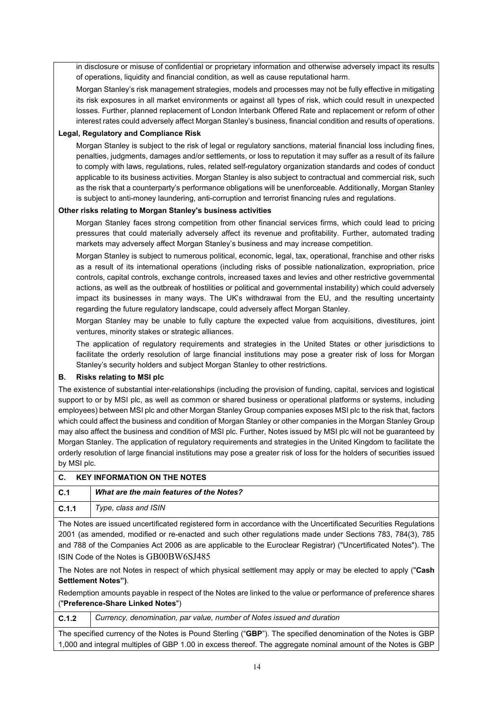in disclosure or misuse of confidential or proprietary information and otherwise adversely impact its results of operations, liquidity and financial condition, as well as cause reputational harm.

Morgan Stanley's risk management strategies, models and processes may not be fully effective in mitigating its risk exposures in all market environments or against all types of risk, which could result in unexpected losses. Further, planned replacement of London Interbank Offered Rate and replacement or reform of other interest rates could adversely affect Morgan Stanley's business, financial condition and results of operations.

#### **Legal, Regulatory and Compliance Risk**

Morgan Stanley is subject to the risk of legal or regulatory sanctions, material financial loss including fines, penalties, judgments, damages and/or settlements, or loss to reputation it may suffer as a result of its failure to comply with laws, regulations, rules, related self-regulatory organization standards and codes of conduct applicable to its business activities. Morgan Stanley is also subject to contractual and commercial risk, such as the risk that a counterparty's performance obligations will be unenforceable. Additionally, Morgan Stanley is subject to anti-money laundering, anti-corruption and terrorist financing rules and regulations.

### **Other risks relating to Morgan Stanley's business activities**

Morgan Stanley faces strong competition from other financial services firms, which could lead to pricing pressures that could materially adversely affect its revenue and profitability. Further, automated trading markets may adversely affect Morgan Stanley's business and may increase competition.

Morgan Stanley is subject to numerous political, economic, legal, tax, operational, franchise and other risks as a result of its international operations (including risks of possible nationalization, expropriation, price controls, capital controls, exchange controls, increased taxes and levies and other restrictive governmental actions, as well as the outbreak of hostilities or political and governmental instability) which could adversely impact its businesses in many ways. The UK's withdrawal from the EU, and the resulting uncertainty regarding the future regulatory landscape, could adversely affect Morgan Stanley.

Morgan Stanley may be unable to fully capture the expected value from acquisitions, divestitures, joint ventures, minority stakes or strategic alliances.

The application of regulatory requirements and strategies in the United States or other jurisdictions to facilitate the orderly resolution of large financial institutions may pose a greater risk of loss for Morgan Stanley's security holders and subject Morgan Stanley to other restrictions.

### **B. Risks relating to MSI plc**

The existence of substantial inter-relationships (including the provision of funding, capital, services and logistical support to or by MSI plc, as well as common or shared business or operational platforms or systems, including employees) between MSI plc and other Morgan Stanley Group companies exposes MSI plc to the risk that, factors which could affect the business and condition of Morgan Stanley or other companies in the Morgan Stanley Group may also affect the business and condition of MSI plc. Further, Notes issued by MSI plc will not be guaranteed by Morgan Stanley. The application of regulatory requirements and strategies in the United Kingdom to facilitate the orderly resolution of large financial institutions may pose a greater risk of loss for the holders of securities issued by MSI plc.

| C.                                                                                                             | <b>KEY INFORMATION ON THE NOTES</b>      |  |  |
|----------------------------------------------------------------------------------------------------------------|------------------------------------------|--|--|
| C.1                                                                                                            | What are the main features of the Notes? |  |  |
| C.1.1                                                                                                          | Type, class and ISIN                     |  |  |
| The Netse are issued upsetificated registered ferm in accordance with the Upsetificated Convrition Pequlations |                                          |  |  |

The Notes are issued uncertificated registered form in accordance with the Uncertificated Securities Regulations 2001 (as amended, modified or re-enacted and such other regulations made under Sections 783, 784(3), 785 and 788 of the Companies Act 2006 as are applicable to the Euroclear Registrar) ("Uncertificated Notes"). The

ISIN Code of the Notes is GB00BW6SJ485

The Notes are not Notes in respect of which physical settlement may apply or may be elected to apply ("**Cash Settlement Notes")**.

Redemption amounts payable in respect of the Notes are linked to the value or performance of preference shares ("**Preference-Share Linked Notes**")

**C.1.2** *Currency, denomination, par value, number of Notes issued and duration*

The specified currency of the Notes is Pound Sterling ("**GBP**"). The specified denomination of the Notes is GBP 1,000 and integral multiples of GBP 1.00 in excess thereof. The aggregate nominal amount of the Notes is GBP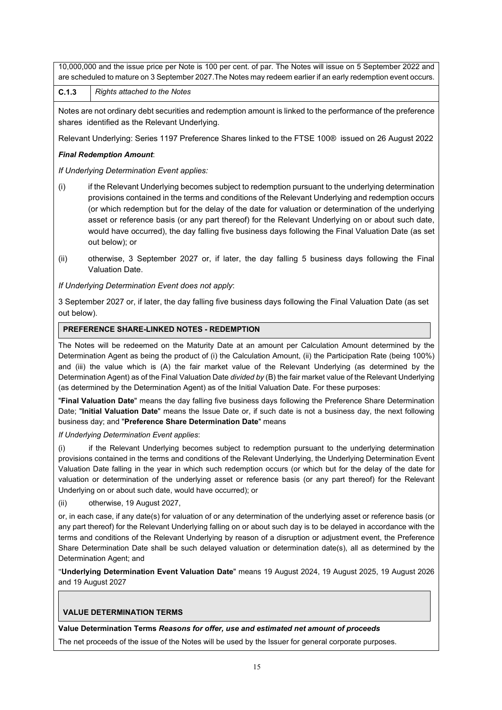10,000,000 and the issue price per Note is 100 per cent. of par. The Notes will issue on 5 September 2022 and are scheduled to mature on 3 September 2027.The Notes may redeem earlier if an early redemption event occurs.

**C.1.3** *Rights attached to the Notes*

Notes are not ordinary debt securities and redemption amount is linked to the performance of the preference shares identified as the Relevant Underlying.

Relevant Underlying: Series 1197 Preference Shares linked to the FTSE 100® issued on 26 August 2022

## *Final Redemption Amount*:

*If Underlying Determination Event applies:*

- (i) if the Relevant Underlying becomes subject to redemption pursuant to the underlying determination provisions contained in the terms and conditions of the Relevant Underlying and redemption occurs (or which redemption but for the delay of the date for valuation or determination of the underlying asset or reference basis (or any part thereof) for the Relevant Underlying on or about such date, would have occurred), the day falling five business days following the Final Valuation Date (as set out below); or
- (ii) otherwise, 3 September 2027 or, if later, the day falling 5 business days following the Final Valuation Date.

*If Underlying Determination Event does not apply*:

3 September 2027 or, if later, the day falling five business days following the Final Valuation Date (as set out below).

### **PREFERENCE SHARE-LINKED NOTES - REDEMPTION**

The Notes will be redeemed on the Maturity Date at an amount per Calculation Amount determined by the Determination Agent as being the product of (i) the Calculation Amount, (ii) the Participation Rate (being 100%) and (iii) the value which is (A) the fair market value of the Relevant Underlying (as determined by the Determination Agent) as of the Final Valuation Date *divided by* (B) the fair market value of the Relevant Underlying (as determined by the Determination Agent) as of the Initial Valuation Date. For these purposes:

"**Final Valuation Date**" means the day falling five business days following the Preference Share Determination Date; "**Initial Valuation Date**" means the Issue Date or, if such date is not a business day, the next following business day; and "**Preference Share Determination Date**" means

*If Underlying Determination Event applies*:

if the Relevant Underlying becomes subject to redemption pursuant to the underlying determination provisions contained in the terms and conditions of the Relevant Underlying, the Underlying Determination Event Valuation Date falling in the year in which such redemption occurs (or which but for the delay of the date for valuation or determination of the underlying asset or reference basis (or any part thereof) for the Relevant Underlying on or about such date, would have occurred); or

(ii) otherwise, 19 August 2027,

or, in each case, if any date(s) for valuation of or any determination of the underlying asset or reference basis (or any part thereof) for the Relevant Underlying falling on or about such day is to be delayed in accordance with the terms and conditions of the Relevant Underlying by reason of a disruption or adjustment event, the Preference Share Determination Date shall be such delayed valuation or determination date(s), all as determined by the Determination Agent; and

"**Underlying Determination Event Valuation Date**" means 19 August 2024, 19 August 2025, 19 August 2026 and 19 August 2027

# **VALUE DETERMINATION TERMS**

**Value Determination Terms** *Reasons for offer, use and estimated net amount of proceeds*

The net proceeds of the issue of the Notes will be used by the Issuer for general corporate purposes.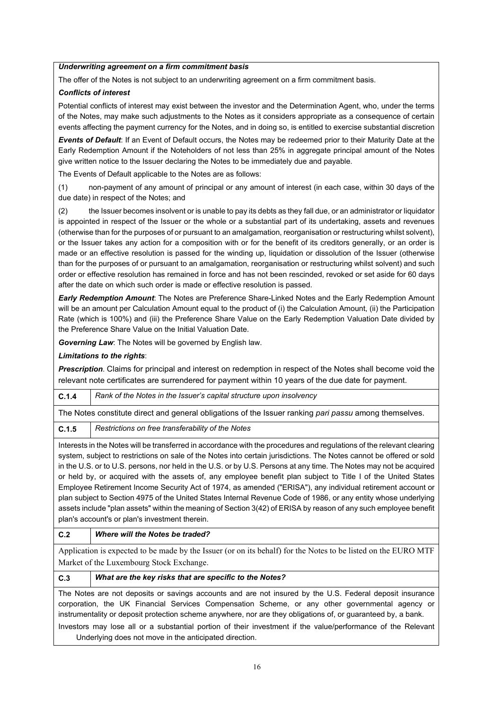### *Underwriting agreement on a firm commitment basis*

The offer of the Notes is not subject to an underwriting agreement on a firm commitment basis.

## *Conflicts of interest*

Potential conflicts of interest may exist between the investor and the Determination Agent, who, under the terms of the Notes, may make such adjustments to the Notes as it considers appropriate as a consequence of certain events affecting the payment currency for the Notes, and in doing so, is entitled to exercise substantial discretion

*Events of Default*: If an Event of Default occurs, the Notes may be redeemed prior to their Maturity Date at the Early Redemption Amount if the Noteholders of not less than 25% in aggregate principal amount of the Notes give written notice to the Issuer declaring the Notes to be immediately due and payable.

The Events of Default applicable to the Notes are as follows:

(1) non-payment of any amount of principal or any amount of interest (in each case, within 30 days of the due date) in respect of the Notes; and

(2) the Issuer becomes insolvent or is unable to pay its debts as they fall due, or an administrator or liquidator is appointed in respect of the Issuer or the whole or a substantial part of its undertaking, assets and revenues (otherwise than for the purposes of or pursuant to an amalgamation, reorganisation or restructuring whilst solvent), or the Issuer takes any action for a composition with or for the benefit of its creditors generally, or an order is made or an effective resolution is passed for the winding up, liquidation or dissolution of the Issuer (otherwise than for the purposes of or pursuant to an amalgamation, reorganisation or restructuring whilst solvent) and such order or effective resolution has remained in force and has not been rescinded, revoked or set aside for 60 days after the date on which such order is made or effective resolution is passed.

*Early Redemption Amount*: The Notes are Preference Share-Linked Notes and the Early Redemption Amount will be an amount per Calculation Amount equal to the product of (i) the Calculation Amount, (ii) the Participation Rate (which is 100%) and (iii) the Preference Share Value on the Early Redemption Valuation Date divided by the Preference Share Value on the Initial Valuation Date.

*Governing Law*: The Notes will be governed by English law.

## *Limitations to the rights*:

*Prescription*. Claims for principal and interest on redemption in respect of the Notes shall become void the relevant note certificates are surrendered for payment within 10 years of the due date for payment.

**C.1.4** *Rank of the Notes in the Issuer's capital structure upon insolvency*

The Notes constitute direct and general obligations of the Issuer ranking *pari passu* among themselves.

**C.1.5** *Restrictions on free transferability of the Notes*

Interests in the Notes will be transferred in accordance with the procedures and regulations of the relevant clearing system, subject to restrictions on sale of the Notes into certain jurisdictions. The Notes cannot be offered or sold in the U.S. or to U.S. persons, nor held in the U.S. or by U.S. Persons at any time. The Notes may not be acquired or held by, or acquired with the assets of, any employee benefit plan subject to Title I of the United States Employee Retirement Income Security Act of 1974, as amended ("ERISA"), any individual retirement account or plan subject to Section 4975 of the United States Internal Revenue Code of 1986, or any entity whose underlying assets include "plan assets" within the meaning of Section 3(42) of ERISA by reason of any such employee benefit plan's account's or plan's investment therein.

# **C.2** *Where will the Notes be traded?*

Application is expected to be made by the Issuer (or on its behalf) for the Notes to be listed on the EURO MTF Market of the Luxembourg Stock Exchange.

### **C.3** *What are the key risks that are specific to the Notes?*

The Notes are not deposits or savings accounts and are not insured by the U.S. Federal deposit insurance corporation, the UK Financial Services Compensation Scheme, or any other governmental agency or instrumentality or deposit protection scheme anywhere, nor are they obligations of, or guaranteed by, a bank.

Investors may lose all or a substantial portion of their investment if the value/performance of the Relevant Underlying does not move in the anticipated direction.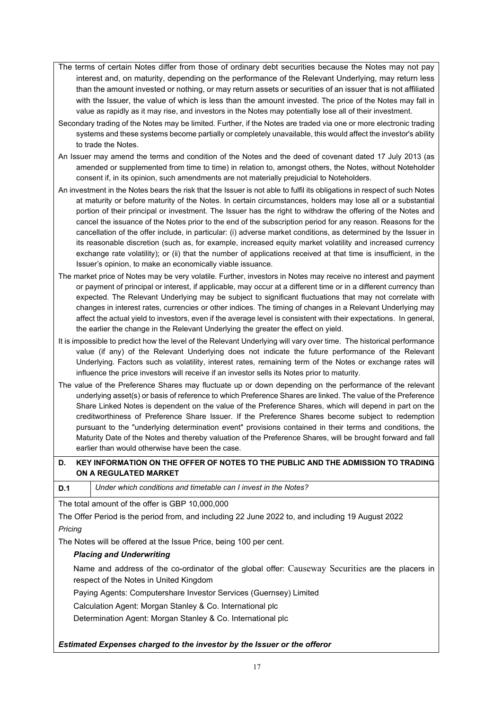- The terms of certain Notes differ from those of ordinary debt securities because the Notes may not pay interest and, on maturity, depending on the performance of the Relevant Underlying, may return less than the amount invested or nothing, or may return assets or securities of an issuer that is not affiliated with the Issuer, the value of which is less than the amount invested. The price of the Notes may fall in value as rapidly as it may rise, and investors in the Notes may potentially lose all of their investment.
- Secondary trading of the Notes may be limited. Further, if the Notes are traded via one or more electronic trading systems and these systems become partially or completely unavailable, this would affect the investor's ability to trade the Notes.
- An Issuer may amend the terms and condition of the Notes and the deed of covenant dated 17 July 2013 (as amended or supplemented from time to time) in relation to, amongst others, the Notes, without Noteholder consent if, in its opinion, such amendments are not materially prejudicial to Noteholders.
- An investment in the Notes bears the risk that the Issuer is not able to fulfil its obligations in respect of such Notes at maturity or before maturity of the Notes. In certain circumstances, holders may lose all or a substantial portion of their principal or investment. The Issuer has the right to withdraw the offering of the Notes and cancel the issuance of the Notes prior to the end of the subscription period for any reason. Reasons for the cancellation of the offer include, in particular: (i) adverse market conditions, as determined by the Issuer in its reasonable discretion (such as, for example, increased equity market volatility and increased currency exchange rate volatility); or (ii) that the number of applications received at that time is insufficient, in the Issuer's opinion, to make an economically viable issuance.
- The market price of Notes may be very volatile. Further, investors in Notes may receive no interest and payment or payment of principal or interest, if applicable, may occur at a different time or in a different currency than expected. The Relevant Underlying may be subject to significant fluctuations that may not correlate with changes in interest rates, currencies or other indices. The timing of changes in a Relevant Underlying may affect the actual yield to investors, even if the average level is consistent with their expectations. In general, the earlier the change in the Relevant Underlying the greater the effect on yield.
- It is impossible to predict how the level of the Relevant Underlying will vary over time. The historical performance value (if any) of the Relevant Underlying does not indicate the future performance of the Relevant Underlying. Factors such as volatility, interest rates, remaining term of the Notes or exchange rates will influence the price investors will receive if an investor sells its Notes prior to maturity.
- The value of the Preference Shares may fluctuate up or down depending on the performance of the relevant underlying asset(s) or basis of reference to which Preference Shares are linked. The value of the Preference Share Linked Notes is dependent on the value of the Preference Shares, which will depend in part on the creditworthiness of Preference Share Issuer. If the Preference Shares become subject to redemption pursuant to the "underlying determination event" provisions contained in their terms and conditions, the Maturity Date of the Notes and thereby valuation of the Preference Shares, will be brought forward and fall earlier than would otherwise have been the case.

# **D. KEY INFORMATION ON THE OFFER OF NOTES TO THE PUBLIC AND THE ADMISSION TO TRADING ON A REGULATED MARKET**

**D.1** *Under which conditions and timetable can I invest in the Notes?* 

The total amount of the offer is GBP 10,000,000

The Offer Period is the period from, and including 22 June 2022 to, and including 19 August 2022 *Pricing*

The Notes will be offered at the Issue Price, being 100 per cent.

### *Placing and Underwriting*

Name and address of the co-ordinator of the global offer: Causeway Securities are the placers in respect of the Notes in United Kingdom

Paying Agents: Computershare Investor Services (Guernsey) Limited

Calculation Agent: Morgan Stanley & Co. International plc

Determination Agent: Morgan Stanley & Co. International plc

### *Estimated Expenses charged to the investor by the Issuer or the offeror*